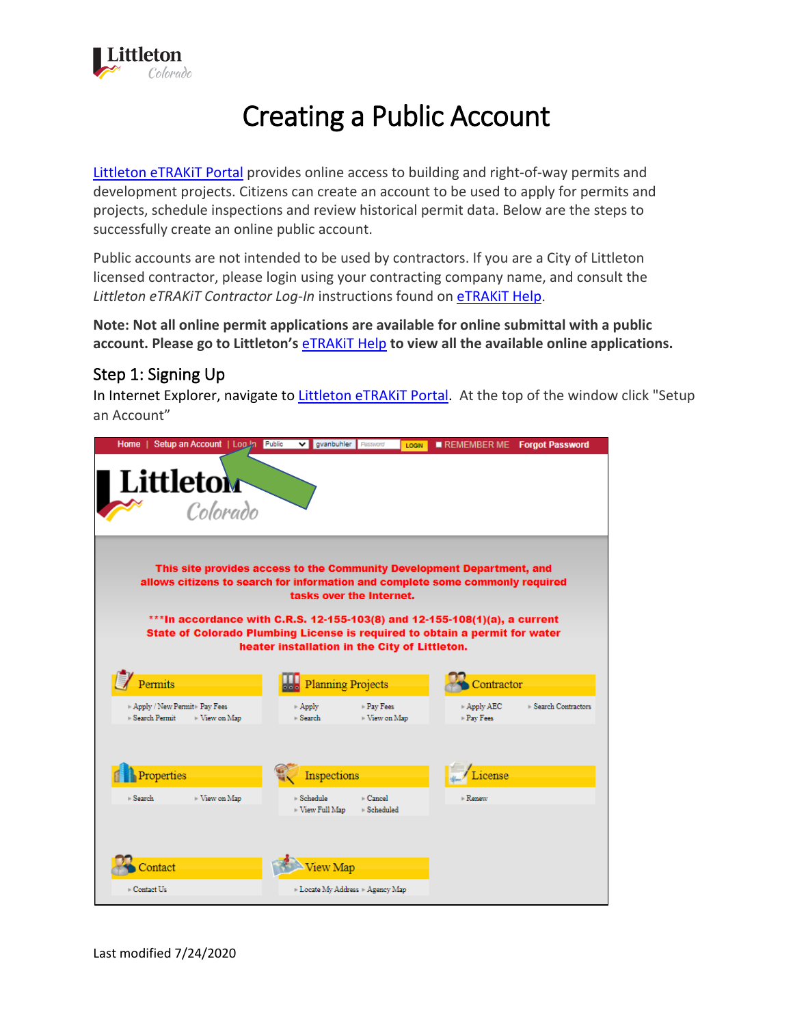

# Creating a Public Account

[Littleton eTRAKiT Portal](https://permit9.littletongov.org/eTRAKiT) provides online access to building and right-of-way permits and development projects. Citizens can create an account to be used to apply for permits and projects, schedule inspections and review historical permit data. Below are the steps to successfully create an online public account.

Public accounts are not intended to be used by contractors. If you are a City of Littleton licensed contractor, please login using your contracting company name, and consult the *Littleton eTRAKiT Contractor Log-In* instructions found on [eTRAKiT Help](https://www.littletongov.org/building-development/etrakit-portal).

**Note: Not all online permit applications are available for online submittal with a public account. Please go to Littleton's** [eTRAKiT Help](https://www.littletongov.org/building-development/etrakit-portal) **to view all the available online applications.**

### Step 1: Signing Up

In Internet Explorer, navigate to Littleton eTRAKIT Portal. At the top of the window click "Setup an Account"

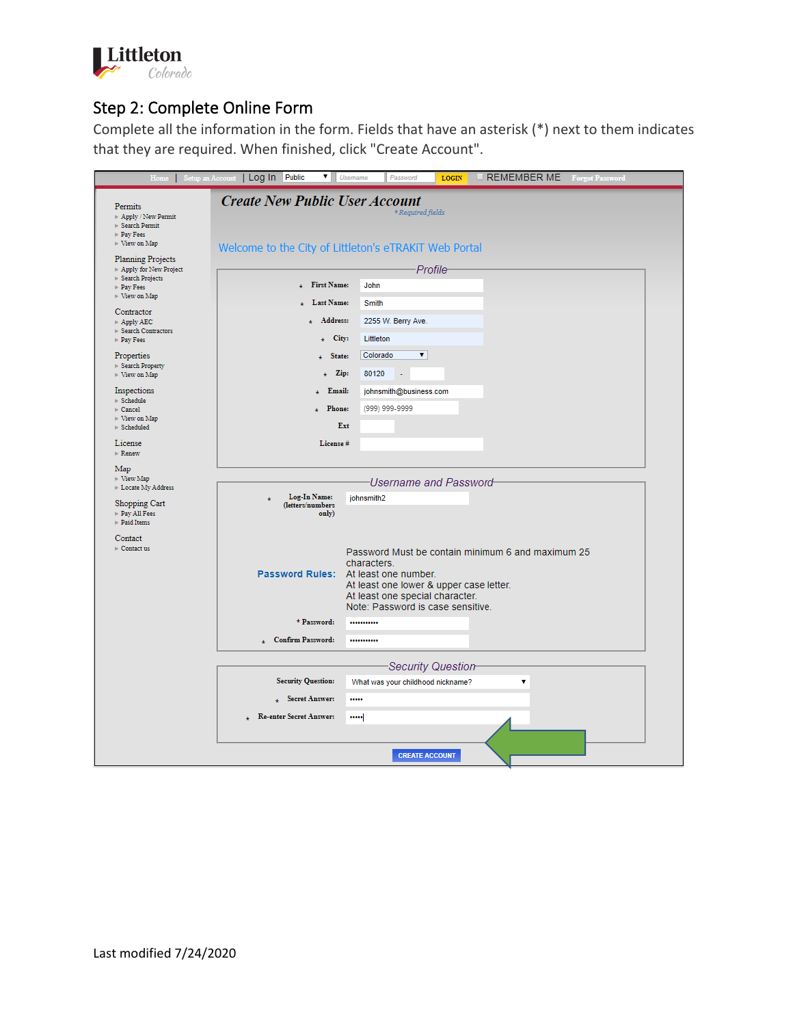

# Step 2: Complete Online Form

Complete all the information in the form. Fields that have an asterisk (\*) next to them indicates that they are required. When finished, click "Create Account".